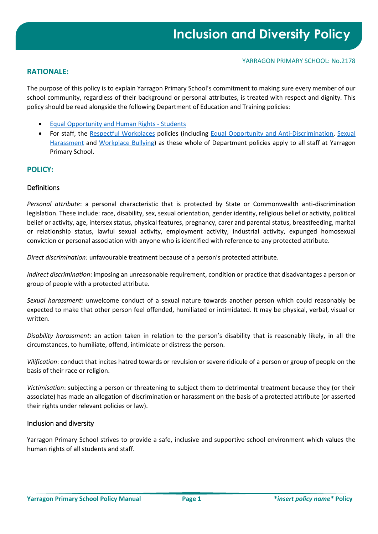# **RATIONALE:**

The purpose of this policy is to explain Yarragon Primary School's commitment to making sure every member of our school community, regardless of their background or personal attributes, is treated with respect and dignity. This policy should be read alongside the following Department of Education and Training policies:

- [Equal Opportunity and Human Rights -](https://www2.education.vic.gov.au/pal/equal-opportunity-human-rights-students/policy) Students
- For staff, the [Respectful Workplaces](https://www2.education.vic.gov.au/pal/respectful-workplaces/overview) policies (including [Equal Opportunity and Anti-Discrimination,](https://www2.education.vic.gov.au/pal/equal-opportunity/overview) [Sexual](https://www2.education.vic.gov.au/pal/sexual-harassment/overview)  [Harassment](https://www2.education.vic.gov.au/pal/sexual-harassment/overview) and [Workplace Bullying\)](https://www2.education.vic.gov.au/pal/workplace-bullying/policy) as these whole of Department policies apply to all staff at Yarragon Primary School.

# **POLICY:**

# Definitions

*Personal attribute*: a personal characteristic that is protected by State or Commonwealth anti-discrimination legislation. These include: race, disability, sex, sexual orientation, gender identity, religious belief or activity, political belief or activity, age, intersex status, physical features, pregnancy, carer and parental status, breastfeeding, marital or relationship status, lawful sexual activity, employment activity, industrial activity, expunged homosexual conviction or personal association with anyone who is identified with reference to any protected attribute.

*Direct discrimination:* unfavourable treatment because of a person's protected attribute.

*Indirect discrimination*: imposing an unreasonable requirement, condition or practice that disadvantages a person or group of people with a protected attribute.

*Sexual harassment:* unwelcome conduct of a sexual nature towards another person which could reasonably be expected to make that other person feel offended, humiliated or intimidated. It may be physical, verbal, visual or written.

*Disability harassment*: an action taken in relation to the person's disability that is reasonably likely, in all the circumstances, to humiliate, offend, intimidate or distress the person.

*Vilification*: conduct that incites hatred towards or revulsion or severe ridicule of a person or group of people on the basis of their race or religion.

*Victimisation*: subjecting a person or threatening to subject them to detrimental treatment because they (or their associate) has made an allegation of discrimination or harassment on the basis of a protected attribute (or asserted their rights under relevant policies or law).

## Inclusion and diversity

Yarragon Primary School strives to provide a safe, inclusive and supportive school environment which values the human rights of all students and staff.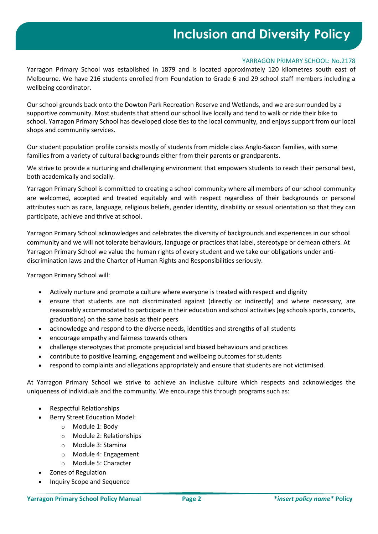# **Inclusion and Diversity Policy**

## YARRAGON PRIMARY SCHOOL: No.2178

Yarragon Primary School was established in 1879 and is located approximately 120 kilometres south east of Melbourne. We have 216 students enrolled from Foundation to Grade 6 and 29 school staff members including a wellbeing coordinator.

Our school grounds back onto the Dowton Park Recreation Reserve and Wetlands, and we are surrounded by a supportive community. Most students that attend our school live locally and tend to walk or ride their bike to school. Yarragon Primary School has developed close ties to the local community, and enjoys support from our local shops and community services.

Our student population profile consists mostly of students from middle class Anglo-Saxon families, with some families from a variety of cultural backgrounds either from their parents or grandparents.

We strive to provide a nurturing and challenging environment that empowers students to reach their personal best, both academically and socially.

Yarragon Primary School is committed to creating a school community where all members of our school community are welcomed, accepted and treated equitably and with respect regardless of their backgrounds or personal attributes such as race, language, religious beliefs, gender identity, disability or sexual orientation so that they can participate, achieve and thrive at school.

Yarragon Primary School acknowledges and celebrates the diversity of backgrounds and experiences in our school community and we will not tolerate behaviours, language or practices that label, stereotype or demean others. At Yarragon Primary School we value the human rights of every student and we take our obligations under antidiscrimination laws and the Charter of Human Rights and Responsibilities seriously.

Yarragon Primary School will:

- Actively nurture and promote a culture where everyone is treated with respect and dignity
- ensure that students are not discriminated against (directly or indirectly) and where necessary, are reasonably accommodated to participate in their education and school activities (eg schools sports, concerts, graduations) on the same basis as their peers
- acknowledge and respond to the diverse needs, identities and strengths of all students
- encourage empathy and fairness towards others
- challenge stereotypes that promote prejudicial and biased behaviours and practices
- contribute to positive learning, engagement and wellbeing outcomes for students
- respond to complaints and allegations appropriately and ensure that students are not victimised.

At Yarragon Primary School we strive to achieve an inclusive culture which respects and acknowledges the uniqueness of individuals and the community. We encourage this through programs such as:

- Respectful Relationships
- Berry Street Education Model:
	- o Module 1: Body
	- o Module 2: Relationships
	- o Module 3: Stamina
	- o Module 4: Engagement
	- o Module 5: Character
- Zones of Regulation
- Inquiry Scope and Sequence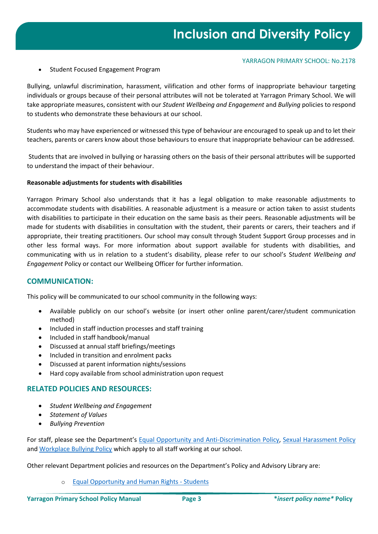#### YARRAGON PRIMARY SCHOOL: No.2178

• Student Focused Engagement Program

Bullying, unlawful discrimination, harassment, vilification and other forms of inappropriate behaviour targeting individuals or groups because of their personal attributes will not be tolerated at Yarragon Primary School. We will take appropriate measures, consistent with our *Student Wellbeing and Engagement* and *Bullying* policies to respond to students who demonstrate these behaviours at our school.

Students who may have experienced or witnessed this type of behaviour are encouraged to speak up and to let their teachers, parents or carers know about those behaviours to ensure that inappropriate behaviour can be addressed.

Students that are involved in bullying or harassing others on the basis of their personal attributes will be supported to understand the impact of their behaviour.

## **Reasonable adjustments for students with disabilities**

Yarragon Primary School also understands that it has a legal obligation to make reasonable adjustments to accommodate students with disabilities. A reasonable adjustment is a measure or action taken to assist students with disabilities to participate in their education on the same basis as their peers. Reasonable adjustments will be made for students with disabilities in consultation with the student, their parents or carers, their teachers and if appropriate, their treating practitioners. Our school may consult through Student Support Group processes and in other less formal ways. For more information about support available for students with disabilities, and communicating with us in relation to a student's disability, please refer to our school's S*tudent Wellbeing and Engagement* Policy or contact our Wellbeing Officer for further information.

# **COMMUNICATION:**

This policy will be communicated to our school community in the following ways:

- Available publicly on our school's website (or insert other online parent/carer/student communication method)
- Included in staff induction processes and staff training
- Included in staff handbook/manual
- Discussed at annual staff briefings/meetings
- Included in transition and enrolment packs
- Discussed at parent information nights/sessions
- Hard copy available from school administration upon request

# **RELATED POLICIES AND RESOURCES:**

- *Student Wellbeing and Engagement*
- *Statement of Values*
- *Bullying Prevention*

For staff, please see the Department's [Equal Opportunity and Anti-Discrimination Policy,](https://www2.education.vic.gov.au/pal/equal-opportunity/policy-and-guidelines) [Sexual Harassment Policy](https://www2.education.vic.gov.au/pal/sexual-harassment/policy-and-guidelines) and [Workplace Bullying Policy](https://www2.education.vic.gov.au/pal/workplace-bullying/policy) which apply to all staff working at our school.

Other relevant Department policies and resources on the Department's Policy and Advisory Library are:

o [Equal Opportunity and Human Rights -](https://www2.education.vic.gov.au/pal/equal-opportunity-human-rights-students/policy) Students